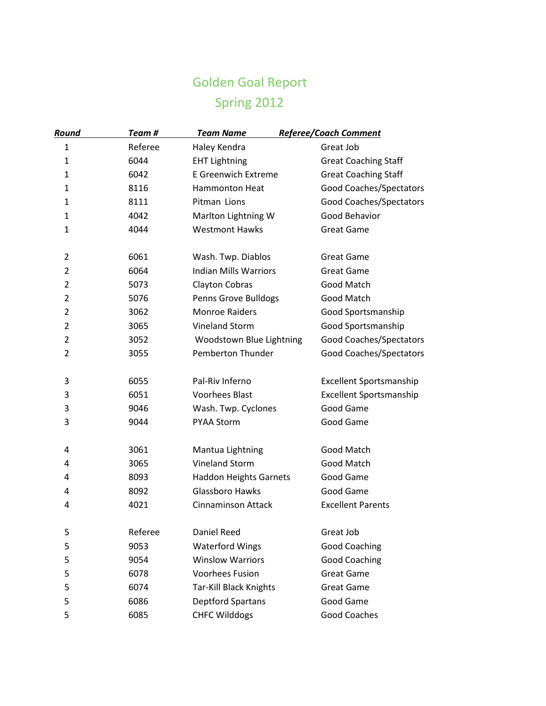## Golden Goal Report Spring 2012

| Round          | Team#   | <b>Team Name</b>              | Referee/Coach Comment          |
|----------------|---------|-------------------------------|--------------------------------|
| $\mathbf{1}$   | Referee | Haley Kendra                  | Great Job                      |
| $\mathbf{1}$   | 6044    | <b>EHT Lightning</b>          | <b>Great Coaching Staff</b>    |
| 1              | 6042    | <b>E Greenwich Extreme</b>    | <b>Great Coaching Staff</b>    |
| $\mathbf{1}$   | 8116    | <b>Hammonton Heat</b>         | Good Coaches/Spectators        |
| $\mathbf{1}$   | 8111    | Pitman Lions                  | Good Coaches/Spectators        |
| $\mathbf{1}$   | 4042    | Marlton Lightning W           | Good Behavior                  |
| $\mathbf{1}$   | 4044    | <b>Westmont Hawks</b>         | <b>Great Game</b>              |
| $\overline{2}$ | 6061    | Wash. Twp. Diablos            | <b>Great Game</b>              |
| $\overline{2}$ | 6064    | <b>Indian Mills Warriors</b>  | <b>Great Game</b>              |
| $\overline{2}$ | 5073    | Clayton Cobras                | Good Match                     |
| $\overline{2}$ | 5076    | Penns Grove Bulldogs          | Good Match                     |
| $\overline{2}$ | 3062    | <b>Monroe Raiders</b>         | Good Sportsmanship             |
| $\overline{2}$ | 3065    | Vineland Storm                | Good Sportsmanship             |
| $\overline{2}$ | 3052    | Woodstown Blue Lightning      | Good Coaches/Spectators        |
| $\overline{2}$ | 3055    | Pemberton Thunder             | Good Coaches/Spectators        |
| 3              | 6055    | Pal-Riv Inferno               | <b>Excellent Sportsmanship</b> |
| 3              | 6051    | <b>Voorhees Blast</b>         | Excellent Sportsmanship        |
| 3              | 9046    | Wash. Twp. Cyclones           | Good Game                      |
| 3              | 9044    | <b>PYAA Storm</b>             | Good Game                      |
| $\overline{a}$ | 3061    | Mantua Lightning              | Good Match                     |
| 4              | 3065    | Vineland Storm                | Good Match                     |
| 4              | 8093    | <b>Haddon Heights Garnets</b> | Good Game                      |
| 4              | 8092    | Glassboro Hawks               | Good Game                      |
| 4              | 4021    | <b>Cinnaminson Attack</b>     | <b>Excellent Parents</b>       |
| 5              | Referee | Daniel Reed                   | Great Job                      |
| 5              | 9053    | <b>Waterford Wings</b>        | <b>Good Coaching</b>           |
| 5              | 9054    | <b>Winslow Warriors</b>       | <b>Good Coaching</b>           |
| 5              | 6078    | <b>Voorhees Fusion</b>        | <b>Great Game</b>              |
| 5              | 6074    | Tar-Kill Black Knights        | <b>Great Game</b>              |
| 5              | 6086    | <b>Deptford Spartans</b>      | Good Game                      |
| 5              | 6085    | <b>CHFC Wilddogs</b>          | Good Coaches                   |